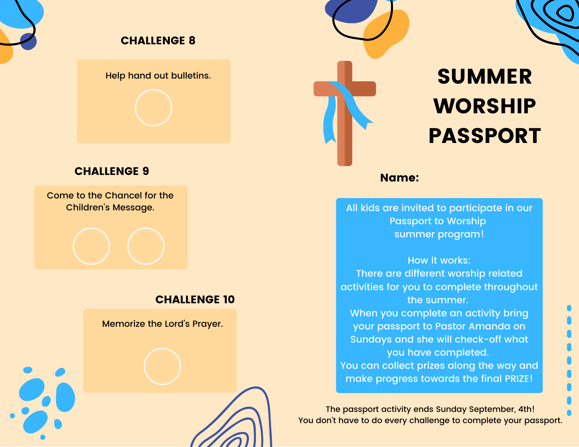

#### CHALLENGE 8

Help hand out bulletins.

#### CHALLENGE 9

Come to the Chancel for the Children's Message.

#### CHALLENGE 10

Memorize the Lord's Prayer.



# SUMMER WORSHIP PASSPORT

Name:

All kids are invited to participate in our Passport to Worship summer program!

How it works: There are different worship related activities for you to complete throughout the summer. When you complete an activity bring your passport to Pastor Amanda on Sundays and she will check-off what you have completed. You can collect prizes along the way and make progress towards the final PRIZE!

The passport activity ends Sunday September, 4th! You don't have to do every challenge to complete your passport.